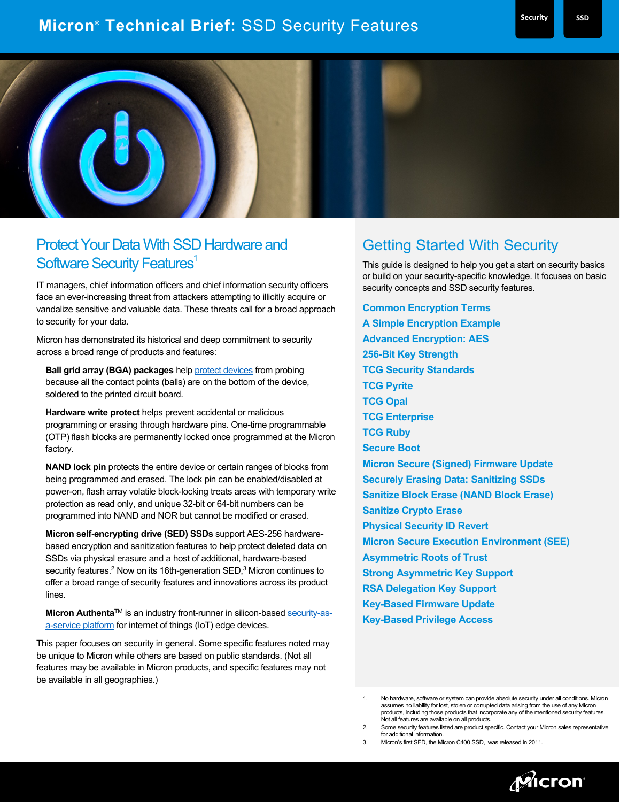# **Micron® Technical Brief:** SSD Security Features **Security** SSD





# Protect Your Data With SSD Hardware and Software Security Features<sup>1</sup>

IT managers, chief information officers and chief information security officers face an ever-increasing threat from attackers attempting to illicitly acquire or vandalize sensitive and valuable data. These threats call for a broad approach to security for your data.

Micron has demonstrated its historical and deep commitment to security across a broad range of products and features:

**Ball grid array (BGA) packages** help **protect devices** from probing because all the contact points (balls) are on the bottom of the device, soldered to the printed circuit board.

**Hardware write protect** helps prevent accidental or malicious programming or erasing through hardware pins. One-time programmable (OTP) flash blocks are permanently locked once programmed at the Micron factory.

**NAND lock pin** protects the entire device or certain ranges of blocks from being programmed and erased. The lock pin can be enabled/disabled at power-on, flash array volatile block-locking treats areas with temporary write protection as read only, and unique 32-bit or 64-bit numbers can be programmed into NAND and NOR but cannot be modified or erased.

**Micron self-encrypting drive (SED) SSDs** support AES-256 hardwarebased encryption and sanitization features to help protect deleted data on SSDs via physical erasure and a host of additional, hardware-based security features.<sup>2</sup> Now on its 16th-generation SED,<sup>3</sup> Micron continues to offer a broad range of security features and innovations across its product lines.

**Micron Authenta**™ is an industry front-runner in silicon-based **security-as**[a-service platform](https://www.micron.com/products/advanced-solutions/authenta) for internet of things (IoT) edge devices.

This paper focuses on security in general. Some specific features noted may be unique to Micron while others are based on public standards. (Not all features may be available in Micron products, and specific features may not be available in all geographies.)

# Getting Started With Security

This guide is designed to help you get a start on security basics or build on your security-specific knowledge. It focuses on basic security concepts and SSD security features.

**Common Encryption Terms A Simple Encryption Example Advanced Encryption: AES 256-Bit Key Strength TCG Security Standards TCG Pyrite TCG Opal TCG Enterprise TCG Ruby Secure Boot Micron Secure (Signed) Firmware Update Securely Erasing Data: Sanitizing SSDs Sanitize Block Erase (NAND Block Erase) Sanitize Crypto Erase Physical Security ID Revert Micron Secure Execution Environment (SEE) Asymmetric Roots of Trust Strong Asymmetric Key Support RSA Delegation Key Support Key-Based Firmware Update Key-Based Privilege Access**

<sup>3.</sup> Micron's first SED, the Micron C400 SSD, was released in 2011.



<sup>1.</sup> No hardware, software or system can provide absolute security under all conditions. Micron assumes no liability for lost, stolen or corrupted data arising from the use of any Micron products, including those products that incorporate any of the mentioned security features. Not all features are available on all products.

Some security features listed are product specific. Contact your Micron sales repre for additional information.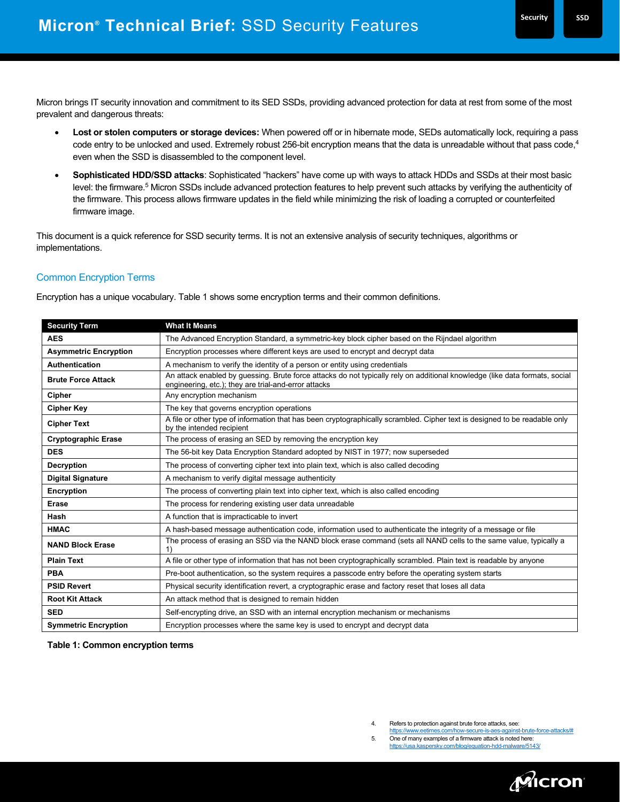Micron brings IT security innovation and commitment to its SED SSDs, providing advanced protection for data at rest from some of the most prevalent and dangerous threats:

- **Lost or stolen computers or storage devices:** When powered off or in hibernate mode, SEDs automatically lock, requiring a pass code entry to be unlocked and used. Extremely robust 256-bit encryption means that the data is unreadable without that pass code, 4 even when the SSD is disassembled to the component level.
- **Sophisticated HDD/SSD attacks**: Sophisticated "hackers" have come up with ways to attack HDDs and SSDs at their most basic level: the firmware.<sup>5</sup> Micron SSDs include advanced protection features to help prevent such attacks by verifying the authenticity of the firmware. This process allows firmware updates in the field while minimizing the risk of loading a corrupted or counterfeited firmware image.

This document is a quick reference for SSD security terms. It is not an extensive analysis of security techniques, algorithms or implementations.

# Common Encryption Terms

Encryption has a unique vocabulary. Table 1 shows some encryption terms and their common definitions.

| <b>Security Term</b>         | <b>What It Means</b>                                                                                                                                                                |
|------------------------------|-------------------------------------------------------------------------------------------------------------------------------------------------------------------------------------|
| <b>AES</b>                   | The Advanced Encryption Standard, a symmetric-key block cipher based on the Rijndael algorithm                                                                                      |
| <b>Asymmetric Encryption</b> | Encryption processes where different keys are used to encrypt and decrypt data                                                                                                      |
| <b>Authentication</b>        | A mechanism to verify the identity of a person or entity using credentials                                                                                                          |
| <b>Brute Force Attack</b>    | An attack enabled by quessing. Brute force attacks do not typically rely on additional knowledge (like data formats, social<br>engineering, etc.); they are trial-and-error attacks |
| Cipher                       | Any encryption mechanism                                                                                                                                                            |
| <b>Cipher Key</b>            | The key that governs encryption operations                                                                                                                                          |
| <b>Cipher Text</b>           | A file or other type of information that has been cryptographically scrambled. Cipher text is designed to be readable only<br>by the intended recipient                             |
| <b>Cryptographic Erase</b>   | The process of erasing an SED by removing the encryption key                                                                                                                        |
| <b>DES</b>                   | The 56-bit key Data Encryption Standard adopted by NIST in 1977; now superseded                                                                                                     |
| Decryption                   | The process of converting cipher text into plain text, which is also called decoding                                                                                                |
| <b>Digital Signature</b>     | A mechanism to verify digital message authenticity                                                                                                                                  |
| Encryption                   | The process of converting plain text into cipher text, which is also called encoding                                                                                                |
| Erase                        | The process for rendering existing user data unreadable                                                                                                                             |
| Hash                         | A function that is impracticable to invert                                                                                                                                          |
| <b>HMAC</b>                  | A hash-based message authentication code, information used to authenticate the integrity of a message or file                                                                       |
| <b>NAND Block Erase</b>      | The process of erasing an SSD via the NAND block erase command (sets all NAND cells to the same value, typically a<br>1)                                                            |
| <b>Plain Text</b>            | A file or other type of information that has not been cryptographically scrambled. Plain text is readable by anyone                                                                 |
| <b>PBA</b>                   | Pre-boot authentication, so the system requires a passcode entry before the operating system starts                                                                                 |
| <b>PSID Revert</b>           | Physical security identification revert, a cryptographic erase and factory reset that loses all data                                                                                |
| <b>Root Kit Attack</b>       | An attack method that is designed to remain hidden                                                                                                                                  |
| <b>SED</b>                   | Self-encrypting drive, an SSD with an internal encryption mechanism or mechanisms                                                                                                   |
| <b>Symmetric Encryption</b>  | Encryption processes where the same key is used to encrypt and decrypt data                                                                                                         |

**Table 1: Common encryption terms**

4. Refers to protection against brute force attacks, see:

[https://www.eetimes.com/how-secure-is-aes-against-brute-force-attacks/#](https://www.eetimes.com/how-secure-is-aes-against-brute-force-attacks/) 5. One of many examples of a firmware attack is noted here:

<https://usa.kaspersky.com/blog/equation-hdd-malware/5143/>

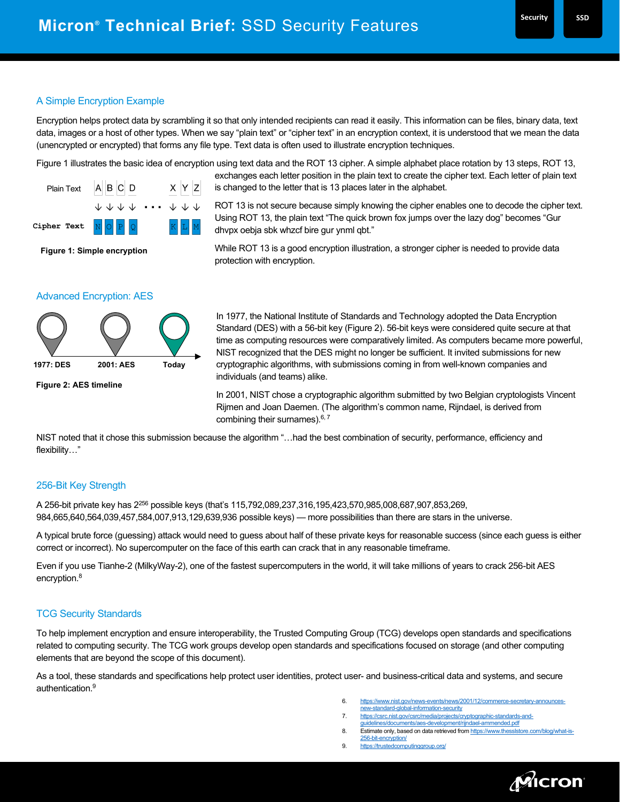# A Simple Encryption Example

Encryption helps protect data by scrambling it so that only intended recipients can read it easily. This information can be files, binary data, text data, images or a host of other types. When we say "plain text" or "cipher text" in an encryption context, it is understood that we mean the data (unencrypted or encrypted) that forms any file type. Text data is often used to illustrate encryption techniques.

Figure 1 illustrates the basic idea of encryption using text data and the ROT 13 cipher. A simple alphabet place rotation by 13 steps, ROT 13,

Plain Text A B C D X Y Z **Cipher Text**

### Advanced Encryption: AES



In 1977, the National Institute of Standards and Technology adopted the Data Encryption Standard (DES) with a 56-bit key (Figure 2). 56-bit keys were considered quite secure at that time as computing resources were comparatively limited. As computers became more powerful, NIST recognized that the DES might no longer be sufficient. It invited submissions for new cryptographic algorithms, with submissions coming in from well-known companies and individuals (and teams) alike.

In 2001, NIST chose a cryptographic algorithm submitted by two Belgian cryptologists Vincent Rijmen and Joan Daemen. (The algorithm's common name, Rijndael, is derived from combining their surnames).<sup>6, 7</sup>

NIST noted that it chose this submission because the algorithm "…had the best combination of security, performance, efficiency and flexibility…"

# 256-Bit Key Strength

**Figure 2: AES timeline**

A 256-bit private key has 2256 possible keys (that's 115,792,089,237,316,195,423,570,985,008,687,907,853,269, 984,665,640,564,039,457,584,007,913,129,639,936 possible keys) — more possibilities than there are stars in the universe.

A typical brute force (guessing) attack would need to guess about half of these private keys for reasonable success (since each guess is either correct or incorrect). No supercomputer on the face of this earth can crack that in any reasonable timeframe.

Even if you use Tianhe-2 (MilkyWay-2), one of the fastest supercomputers in the world, it will take millions of years to crack 256-bit AES encryption.<sup>8</sup>

# TCG Security Standards

To help implement encryption and ensure interoperability, the Trusted Computing Group (TCG) develops open standards and specifications related to computing security. The TCG work groups develop open standards and specifications focused on storage (and other computing elements that are beyond the scope of this document).

As a tool, these standards and specifications help protect user identities, protect user- and business-critical data and systems, and secure authentication. 9

- 6. [https://www.nist.gov/news-events/news/2001/12/commerce-secretary-announces-](https://www.nist.gov/news-events/news/2001/12/commerce-secretary-announces-new-standard-global-information-security)
- 7. https://csrc.nist.gov/csrc/media/projects/cryptographic-standards
- [guidelines/documents/aes-development/rijndael-ammended.pdf](https://csrc.nist.gov/csrc/media/projects/cryptographic-standards-and-guidelines/documents/aes-development/rijndael-ammended.pdf) 8. [Estimate](https://www.eetimes.com/how-secure-is-aes-against-brute-force-attacks/) only, based on data retrieved fro[m https://www.thesslstore.com/blog/what-is-](https://www.thesslstore.com/blog/what-is-256-bit-encryption/)[256-bit-encryption/](https://www.thesslstore.com/blog/what-is-256-bit-encryption/)
- 9. <https://trustedcomputinggroup.org/>

Micron

exchanges each letter position in the plain text to create the cipher text. Each letter of plain text is changed to the letter that is 13 places later in the alphabet.

ROT 13 is not secure because simply knowing the cipher enables one to decode the cipher text. Using ROT 13, the plain text "The quick brown fox jumps over the lazy dog" becomes "Gur dhvpx oebja sbk whzcf bire gur ynml qbt."

While ROT 13 is a good encryption illustration, a stronger cipher is needed to provide data protection with encryption.



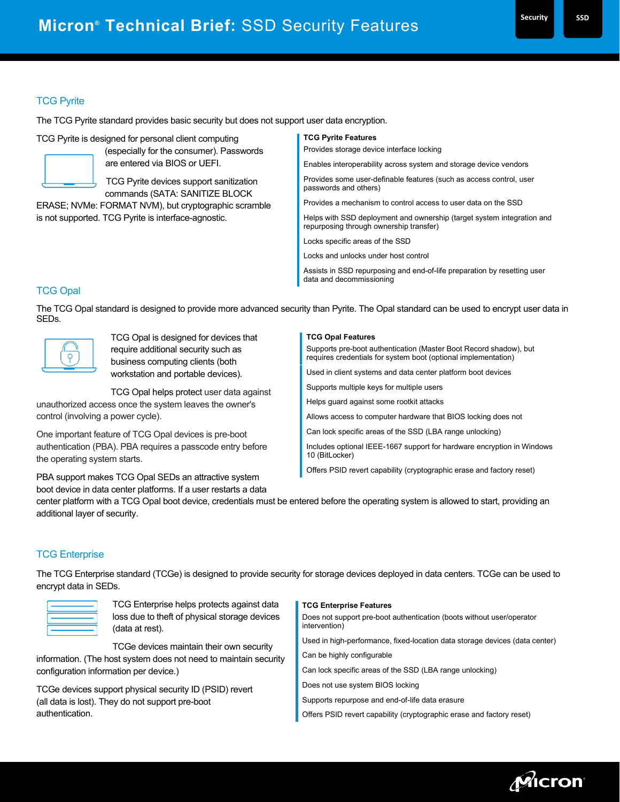# TCG Pyrite

The TCG Pyrite standard provides basic security but does not support user data encryption.

TCG Pyrite is designed for personal client computing



(especially for the consumer). Passwords are entered via BIOS or UEFI.

TCG Pyrite devices support sanitization commands (SATA: SANITIZE BLOCK

ERASE; NVMe: FORMAT NVM), but cryptographic scramble is not supported. TCG Pyrite is interface-agnostic.

#### **TCG Pyrite Features**

Provides storage device interface locking

Enables interoperability across system and storage device vendors

Provides some user-definable features (such as access control, user passwords and others)

Provides a mechanism to control access to user data on the SSD

Helps with SSD deployment and ownership (target system integration and repurposing through ownership transfer)

Locks specific areas of the SSD

Locks and unlocks under host control

Assists in SSD repurposing and end-of-life preparation by resetting user data and decommissioning

# TCG Opal

The TCG Opal standard is designed to provide more advanced security than Pyrite. The Opal standard can be used to encrypt user data in SEDs.



TCG Opal is designed for devices that require additional security such as business computing clients (both workstation and portable devices).

TCG Opal helps protect user data against unauthorized access once the system leaves the owner's control (involving a power cycle).

One important feature of TCG Opal devices is pre-boot authentication (PBA). PBA requires a passcode entry before the operating system starts.

PBA support makes TCG Opal SEDs an attractive system boot device in data center platforms. If a user restarts a data

#### **TCG Opal Features**

Supports pre-boot authentication (Master Boot Record shadow), but requires credentials for system boot (optional implementation)

Used in client systems and data center platform boot devices

Supports multiple keys for multiple users

Helps guard against some rootkit attacks

Allows access to computer hardware that BIOS locking does not

Can lock specific areas of the SSD (LBA range unlocking)

Includes optional IEEE-1667 support for hardware encryption in Windows 10 (BitLocker)

Offers PSID revert capability (cryptographic erase and factory reset)

center platform with a TCG Opal boot device, credentials must be entered before the operating system is allowed to start, providing an additional layer of security.

# TCG Enterprise

The TCG Enterprise standard (TCGe) is designed to provide security for storage devices deployed in data centers. TCGe can be used to encrypt data in SEDs.



TCG Enterprise helps protects against data loss due to theft of physical storage devices (data at rest).

TCGe devices maintain their own security information. (The host system does not need to maintain security configuration information per device.)

TCGe devices support physical security ID (PSID) revert (all data is lost). They do not support pre-boot authentication.

#### **TCG Enterprise Features**

Does not support pre-boot authentication (boots without user/operator intervention)

Used in high-performance, fixed-location data storage devices (data center)

Can be highly configurable

Can lock specific areas of the SSD (LBA range unlocking)

Does not use system BIOS locking

Supports repurpose and end-of-life data erasure

Offers PSID revert capability (cryptographic erase and factory reset)

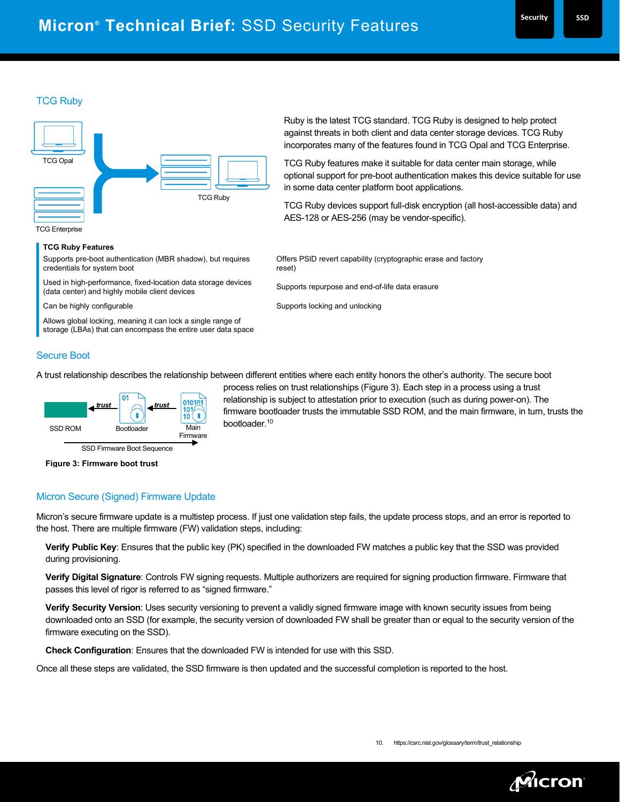#### TCG Ruby



TCG Enterprise

#### **TCG Ruby Features**

Supports pre-boot authentication (MBR shadow), but requires credentials for system boot

Used in high-performance, fixed-location data storage devices Used in high-periormance, lixed-location data storage devices<br>(data center) and highly mobile client devices (data erasure Supports repurpose and end-of-life data erasure

Allows global locking, meaning it can lock a single range of storage (LBAs) that can encompass the entire user data space

Ruby is the latest TCG standard. TCG Ruby is designed to help protect against threats in both client and data center storage devices. TCG Ruby incorporates many of the features found in TCG Opal and TCG Enterprise.

TCG Ruby features make it suitable for data center main storage, while optional support for pre-boot authentication makes this device suitable for use in some data center platform boot applications.

TCG Ruby devices support full-disk encryption (all host-accessible data) and AES-128 or AES-256 (may be vendor-specific).

Offers PSID revert capability (cryptographic erase and factory reset)

process relies on trust relationships (Figure 3). Each step in a process using a trust relationship is subject to attestation prior to execution (such as during power-on). The

firmware bootloader trusts the immutable SSD ROM, and the main firmware, in turn, trusts the

Can be highly configurable  $\sim$  Supports locking and unlocking and unlocking and unlocking and unlocking and unlocking and unlocking and unlocking and unlocking and unlocking and unlocking and unlocking and unlocking and u

# Secure Boot

A trust relationship describes the relationship between different entities where each entity honors the other's authority. The secure boot

bootloader.10



**Figure 3: Firmware boot trust** 

### Micron Secure (Signed) Firmware Update

Micron's secure firmware update is a multistep process. If just one validation step fails, the update process stops, and an error is reported to the host. There are multiple firmware (FW) validation steps, including:

**Verify Public Key**: Ensures that the public key (PK) specified in the downloaded FW matches a public key that the SSD was provided during provisioning.

**Verify Digital Signature**: Controls FW signing requests. Multiple authorizers are required for signing production firmware. Firmware that passes this level of rigor is referred to as "signed firmware."

**Verify Security Version**: Uses security versioning to prevent a validly signed firmware image with known security issues from being downloaded onto an SSD (for example, the security version of downloaded FW shall be greater than or equal to the security version of the firmware executing on the SSD).

**Check Configuration**: Ensures that the downloaded FW is intended for use with this SSD.

Once all these steps are validated, the SSD firmware is then updated and the successful completion is reported to the host.

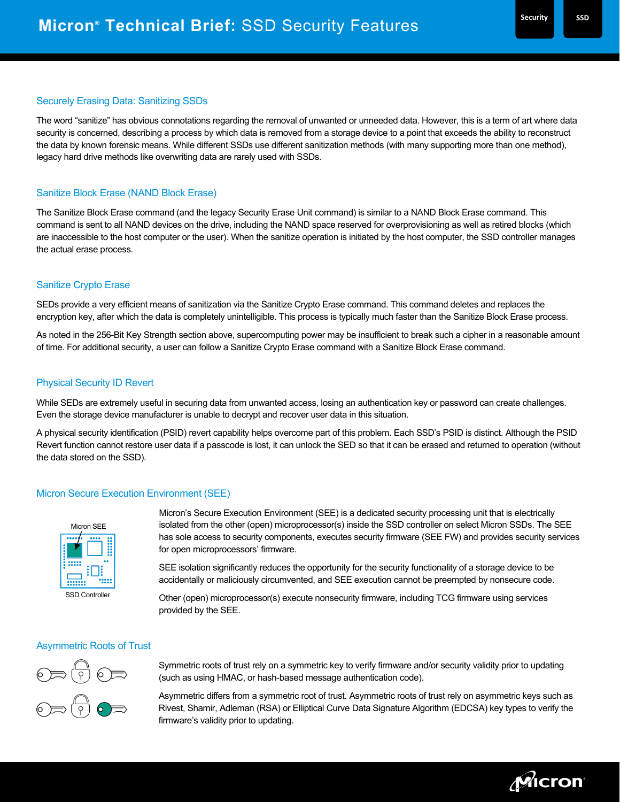# Securely Erasing Data: Sanitizing SSDs

The word "sanitize" has obvious connotations regarding the removal of unwanted or unneeded data. However, this is a term of art where data security is concerned, describing a process by which data is removed from a storage device to a point that exceeds the ability to reconstruct the data by known forensic means. While different SSDs use different sanitization methods (with many supporting more than one method), legacy hard drive methods like overwriting data are rarely used with SSDs.

#### Sanitize Block Erase (NAND Block Erase)

The Sanitize Block Erase command (and the legacy Security Erase Unit command) is similar to a NAND Block Erase command. This command is sent to all NAND devices on the drive, including the NAND space reserved for overprovisioning as well as retired blocks (which are inaccessible to the host computer or the user). When the sanitize operation is initiated by the host computer, the SSD controller manages the actual erase process.

#### Sanitize Crypto Erase

SEDs provide a very efficient means of sanitization via the Sanitize Crypto Erase command. This command deletes and replaces the encryption key, after which the data is completely unintelligible. This process is typically much faster than the Sanitize Block Erase process.

As noted in the 256-Bit Key Strength section above, supercomputing power may be insufficient to break such a cipher in a reasonable amount of time. For additional security, a user can follow a Sanitize Crypto Erase command with a Sanitize Block Erase command.

#### Physical Security ID Revert

While SEDs are extremely useful in securing data from unwanted access, losing an authentication key or password can create challenges. Even the storage device manufacturer is unable to decrypt and recover user data in this situation.

A physical security identification (PSID) revert capability helps overcome part of this problem. Each SSD's PSID is distinct. Although the PSID Revert function cannot restore user data if a passcode is lost, it can unlock the SED so that it can be erased and returned to operation (without the data stored on the SSD).

#### Micron Secure Execution Environment (SEE)



Micron's Secure Execution Environment (SEE) is a dedicated security processing unit that is electrically isolated from the other (open) microprocessor(s) inside the SSD controller on select Micron SSDs. The SEE has sole access to security components, executes security firmware (SEE FW) and provides security services for open microprocessors' firmware.

SEE isolation significantly reduces the opportunity for the security functionality of a storage device to be accidentally or maliciously circumvented, and SEE execution cannot be preempted by nonsecure code.

Other (open) microprocessor(s) execute nonsecurity firmware, including TCG firmware using services provided by the SEE.

#### Asymmetric Roots of Trust



Symmetric roots of trust rely on a symmetric key to verify firmware and/or security validity prior to updating (such as using HMAC, or hash-based message authentication code).

Asymmetric differs from a symmetric root of trust. Asymmetric roots of trust rely on asymmetric keys such as Rivest, Shamir, Adleman (RSA) or Elliptical Curve Data Signature Algorithm (EDCSA) key types to verify the firmware's validity prior to updating.